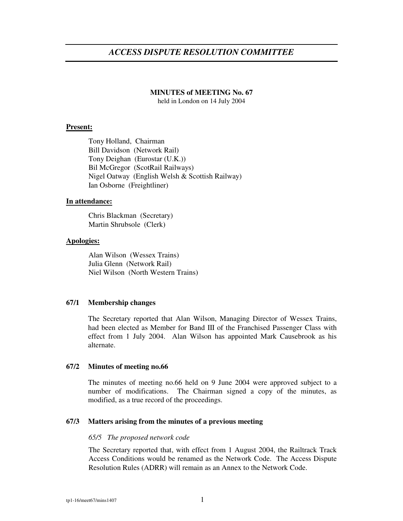# *ACCESS DISPUTE RESOLUTION COMMITTEE*

## **MINUTES of MEETING No. 67**

held in London on 14 July 2004

## **Present:**

Tony Holland, Chairman Bill Davidson (Network Rail) Tony Deighan (Eurostar (U.K.)) Bil McGregor (ScotRail Railways) Nigel Oatway (English Welsh & Scottish Railway) Ian Osborne (Freightliner)

## **In attendance:**

Chris Blackman (Secretary) Martin Shrubsole (Clerk)

## **Apologies:**

Alan Wilson (Wessex Trains) Julia Glenn (Network Rail) Niel Wilson (North Western Trains)

## **67/1 Membership changes**

The Secretary reported that Alan Wilson, Managing Director of Wessex Trains, had been elected as Member for Band III of the Franchised Passenger Class with effect from 1 July 2004. Alan Wilson has appointed Mark Causebrook as his alternate.

## **67/2 Minutes of meeting no.66**

The minutes of meeting no.66 held on 9 June 2004 were approved subject to a number of modifications. The Chairman signed a copy of the minutes, as modified, as a true record of the proceedings.

# **67/3 Matters arising from the minutes of a previous meeting**

## *65/5 The proposed network code*

The Secretary reported that, with effect from 1 August 2004, the Railtrack Track Access Conditions would be renamed as the Network Code. The Access Dispute Resolution Rules (ADRR) will remain as an Annex to the Network Code.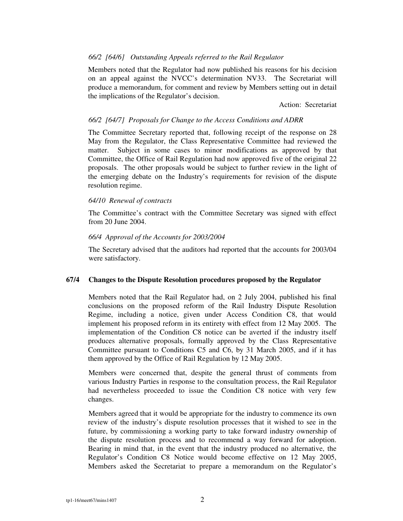# *66/2 [64/6] Outstanding Appeals referred to the Rail Regulator*

Members noted that the Regulator had now published his reasons for his decision on an appeal against the NVCC's determination NV33. The Secretariat will produce a memorandum, for comment and review by Members setting out in detail the implications of the Regulator's decision.

Action: Secretariat

# *66/2 [64/7] Proposals for Change to the Access Conditions and ADRR*

The Committee Secretary reported that, following receipt of the response on 28 May from the Regulator, the Class Representative Committee had reviewed the matter. Subject in some cases to minor modifications as approved by that Committee, the Office of Rail Regulation had now approved five of the original 22 proposals. The other proposals would be subject to further review in the light of the emerging debate on the Industry's requirements for revision of the dispute resolution regime.

## *64/10 Renewal of contracts*

The Committee's contract with the Committee Secretary was signed with effect from 20 June 2004.

## *66/4 Approval of the Accounts for 2003/2004*

The Secretary advised that the auditors had reported that the accounts for 2003/04 were satisfactory.

## **67/4 Changes to the Dispute Resolution procedures proposed by the Regulator**

Members noted that the Rail Regulator had, on 2 July 2004, published his final conclusions on the proposed reform of the Rail Industry Dispute Resolution Regime, including a notice, given under Access Condition C8, that would implement his proposed reform in its entirety with effect from 12 May 2005. The implementation of the Condition C8 notice can be averted if the industry itself produces alternative proposals, formally approved by the Class Representative Committee pursuant to Conditions C5 and C6, by 31 March 2005, and if it has them approved by the Office of Rail Regulation by 12 May 2005.

Members were concerned that, despite the general thrust of comments from various Industry Parties in response to the consultation process, the Rail Regulator had nevertheless proceeded to issue the Condition C8 notice with very few changes.

Members agreed that it would be appropriate for the industry to commence its own review of the industry's dispute resolution processes that it wished to see in the future, by commissioning a working party to take forward industry ownership of the dispute resolution process and to recommend a way forward for adoption. Bearing in mind that, in the event that the industry produced no alternative, the Regulator's Condition C8 Notice would become effective on 12 May 2005, Members asked the Secretariat to prepare a memorandum on the Regulator's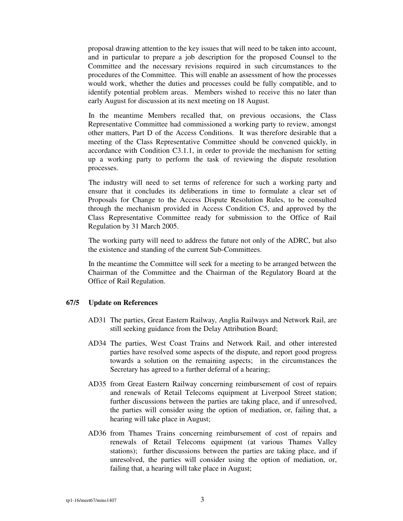proposal drawing attention to the key issues that will need to be taken into account, and in particular to prepare a job description for the proposed Counsel to the Committee and the necessary revisions required in such circumstances to the procedures of the Committee. This will enable an assessment of how the processes would work, whether the duties and processes could be fully compatible, and to identify potential problem areas. Members wished to receive this no later than early August for discussion at its next meeting on 18 August.

In the meantime Members recalled that, on previous occasions, the Class Representative Committee had commissioned a working party to review, amongst other matters, Part D of the Access Conditions. It was therefore desirable that a meeting of the Class Representative Committee should be convened quickly, in accordance with Condition C3.1.1, in order to provide the mechanism for setting up a working party to perform the task of reviewing the dispute resolution processes.

The industry will need to set terms of reference for such a working party and ensure that it concludes its deliberations in time to formulate a clear set of Proposals for Change to the Access Dispute Resolution Rules, to be consulted through the mechanism provided in Access Condition C5, and approved by the Class Representative Committee ready for submission to the Office of Rail Regulation by 31 March 2005.

The working party will need to address the future not only of the ADRC, but also the existence and standing of the current Sub-Committees.

In the meantime the Committee will seek for a meeting to be arranged between the Chairman of the Committee and the Chairman of the Regulatory Board at the Office of Rail Regulation.

## **67/5 Update on References**

- AD31 The parties, Great Eastern Railway, Anglia Railways and Network Rail, are still seeking guidance from the Delay Attribution Board;
- AD34 The parties, West Coast Trains and Network Rail, and other interested parties have resolved some aspects of the dispute, and report good progress towards a solution on the remaining aspects; in the circumstances the Secretary has agreed to a further deferral of a hearing;
- AD35 from Great Eastern Railway concerning reimbursement of cost of repairs and renewals of Retail Telecoms equipment at Liverpool Street station; further discussions between the parties are taking place, and if unresolved, the parties will consider using the option of mediation, or, failing that, a hearing will take place in August;
- AD36 from Thames Trains concerning reimbursement of cost of repairs and renewals of Retail Telecoms equipment (at various Thames Valley stations); further discussions between the parties are taking place, and if unresolved, the parties will consider using the option of mediation, or, failing that, a hearing will take place in August;